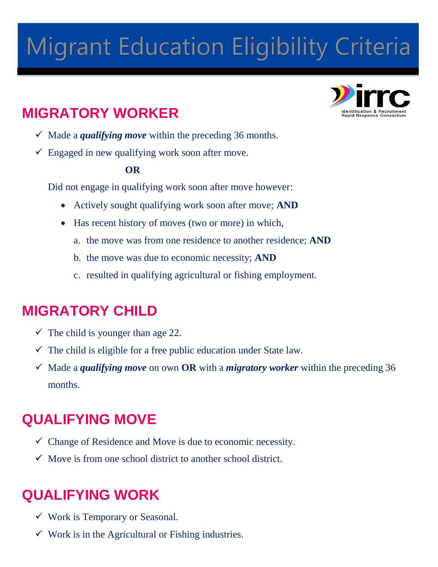# **Migrant Education Eligibility Criteria**

# **MIGRATORY WORKER**

- $\checkmark$  Made a *qualifying move* within the preceding 36 months.
- $\checkmark$  Engaged in new qualifying work soon after move.

# **OR**

Did not engage in qualifying work soon after move however:

- Actively sought qualifying work soon after move; **AND**
- Has recent history of moves (two or more) in which,
	- a. the move was from one residence to another residence; **AND**
	- b. the move was due to economic necessity; **AND**
	- c. resulted in qualifying agricultural or fishing employment.

# **MIGRATORY CHILD**

- $\checkmark$  The child is younger than age 22.
- $\checkmark$  The child is eligible for a free public education under State law.
- $\checkmark$  Made a *qualifying move* on own **OR** with a *migratory worker* within the preceding 36 months.

# **QUALIFYING MOVE**

- $\checkmark$  Change of Residence and Move is due to economic necessity.
- $\checkmark$  Move is from one school district to another school district.

# **QUALIFYING WORK**

- $\checkmark$  Work is Temporary or Seasonal.
- $\checkmark$  Work is in the Agricultural or Fishing industries.